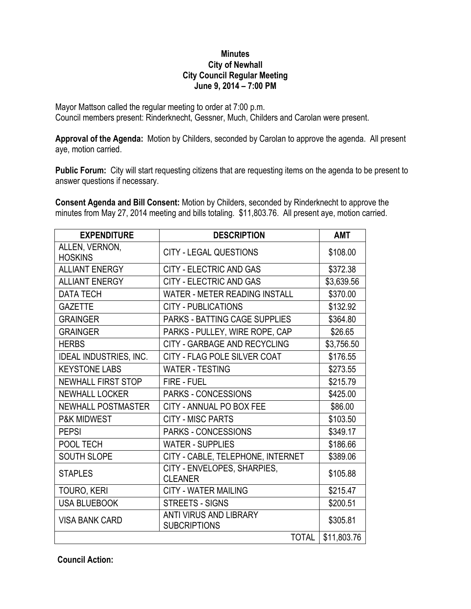## **Minutes City of Newhall City Council Regular Meeting June 9, 2014 – 7:00 PM**

Mayor Mattson called the regular meeting to order at 7:00 p.m. Council members present: Rinderknecht, Gessner, Much, Childers and Carolan were present.

**Approval of the Agenda:** Motion by Childers, seconded by Carolan to approve the agenda. All present aye, motion carried.

**Public Forum:** City will start requesting citizens that are requesting items on the agenda to be present to answer questions if necessary.

**Consent Agenda and Bill Consent:** Motion by Childers, seconded by Rinderknecht to approve the minutes from May 27, 2014 meeting and bills totaling. \$11,803.76. All present aye, motion carried.

| <b>EXPENDITURE</b>               | <b>DESCRIPTION</b>                                   | <b>AMT</b>  |
|----------------------------------|------------------------------------------------------|-------------|
| ALLEN, VERNON,<br><b>HOSKINS</b> | <b>CITY - LEGAL QUESTIONS</b>                        | \$108.00    |
| <b>ALLIANT ENERGY</b>            | <b>CITY - ELECTRIC AND GAS</b>                       | \$372.38    |
| <b>ALLIANT ENERGY</b>            | CITY - ELECTRIC AND GAS                              | \$3,639.56  |
| <b>DATA TECH</b>                 | <b>WATER - METER READING INSTALL</b>                 | \$370.00    |
| <b>GAZETTE</b>                   | <b>CITY - PUBLICATIONS</b>                           | \$132.92    |
| <b>GRAINGER</b>                  | <b>PARKS - BATTING CAGE SUPPLIES</b>                 | \$364.80    |
| <b>GRAINGER</b>                  | PARKS - PULLEY, WIRE ROPE, CAP                       | \$26.65     |
| <b>HERBS</b>                     | CITY - GARBAGE AND RECYCLING                         | \$3,756.50  |
| <b>IDEAL INDUSTRIES, INC.</b>    | CITY - FLAG POLE SILVER COAT                         | \$176.55    |
| <b>KEYSTONE LABS</b>             | <b>WATER - TESTING</b>                               | \$273.55    |
| <b>NEWHALL FIRST STOP</b>        | FIRE - FUEL                                          | \$215.79    |
| <b>NEWHALL LOCKER</b>            | PARKS - CONCESSIONS                                  | \$425.00    |
| <b>NEWHALL POSTMASTER</b>        | CITY - ANNUAL PO BOX FEE                             | \$86.00     |
| <b>P&amp;K MIDWEST</b>           | <b>CITY - MISC PARTS</b>                             | \$103.50    |
| <b>PEPSI</b>                     | <b>PARKS - CONCESSIONS</b>                           | \$349.17    |
| POOL TECH                        | <b>WATER - SUPPLIES</b>                              | \$186.66    |
| <b>SOUTH SLOPE</b>               | CITY - CABLE, TELEPHONE, INTERNET                    | \$389.06    |
| <b>STAPLES</b>                   | CITY - ENVELOPES, SHARPIES,<br><b>CLEANER</b>        | \$105.88    |
| TOURO, KERI                      | <b>CITY - WATER MAILING</b>                          | \$215.47    |
| <b>USA BLUEBOOK</b>              | <b>STREETS - SIGNS</b>                               | \$200.51    |
| <b>VISA BANK CARD</b>            | <b>ANTI VIRUS AND LIBRARY</b><br><b>SUBCRIPTIONS</b> | \$305.81    |
|                                  | <b>TOTAL</b>                                         | \$11,803.76 |

**Council Action:**